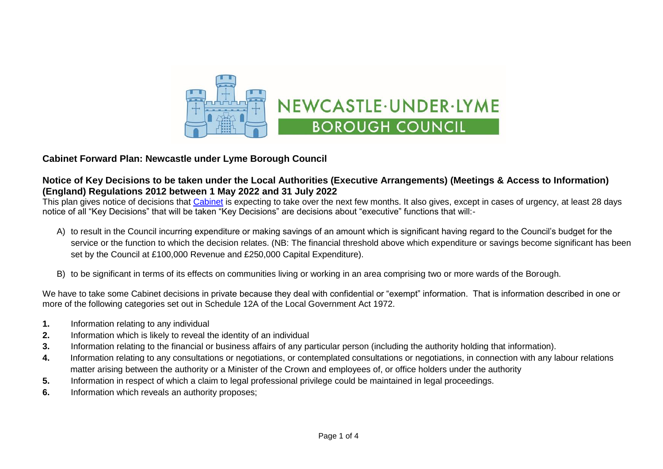

## **Cabinet Forward Plan: Newcastle under Lyme Borough Council**

## **Notice of Key Decisions to be taken under the Local Authorities (Executive Arrangements) (Meetings & Access to Information) (England) Regulations 2012 between 1 May 2022 and 31 July 2022**

This plan gives notice of decisions that [Cabinet](https://moderngov.newcastle-staffs.gov.uk/mgCommitteeDetails.aspx?ID=118) is expecting to take over the next few months. It also gives, except in cases of urgency, at least 28 davs notice of all "Key Decisions" that will be taken "Key Decisions" are decisions about "executive" functions that will:-

- A) to result in the Council incurring expenditure or making savings of an amount which is significant having regard to the Council's budget for the service or the function to which the decision relates. (NB: The financial threshold above which expenditure or savings become significant has been set by the Council at £100,000 Revenue and £250,000 Capital Expenditure).
- B) to be significant in terms of its effects on communities living or working in an area comprising two or more wards of the Borough.

We have to take some Cabinet decisions in private because they deal with confidential or "exempt" information. That is information described in one or more of the following categories set out in Schedule 12A of the Local Government Act 1972.

- **1.** Information relating to any individual
- **2.** Information which is likely to reveal the identity of an individual
- **3.** Information relating to the financial or business affairs of any particular person (including the authority holding that information).
- **4.** Information relating to any consultations or negotiations, or contemplated consultations or negotiations, in connection with any labour relations matter arising between the authority or a Minister of the Crown and employees of, or office holders under the authority
- **5.** Information in respect of which a claim to legal professional privilege could be maintained in legal proceedings.
- **6.** Information which reveals an authority proposes;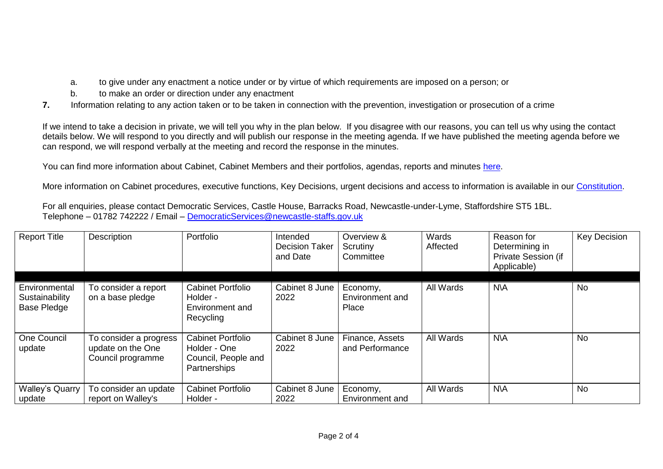- a. to give under any enactment a notice under or by virtue of which requirements are imposed on a person; or
- b. to make an order or direction under any enactment
- **7.** Information relating to any action taken or to be taken in connection with the prevention, investigation or prosecution of a crime

If we intend to take a decision in private, we will tell you why in the plan below. If you disagree with our reasons, you can tell us why using the contact details below. We will respond to you directly and will publish our response in the meeting agenda. If we have published the meeting agenda before we can respond, we will respond verbally at the meeting and record the response in the minutes.

You can find more information about Cabinet, Cabinet Members and their portfolios, agendas, reports and minutes [here.](https://moderngov.newcastle-staffs.gov.uk/mgCommitteeDetails.aspx?ID=118)

More information on Cabinet procedures, executive functions, Key Decisions, urgent decisions and access to information is available in our [Constitution.](https://moderngov.newcastle-staffs.gov.uk/ieListMeetings.aspx?CommitteeID=443&info=1&bcr=1)

For all enquiries, please contact Democratic Services, Castle House, Barracks Road, Newcastle-under-Lyme, Staffordshire ST5 1BL. Telephone – 01782 742222 / Email – [DemocraticServices@newcastle-staffs.gov.uk](mailto:DemocraticServices@newcastle-staffs.gov.uk)

| <b>Report Title</b>                            | Description                                                      | Portfolio                                                                       | Intended<br><b>Decision Taker</b><br>and Date | Overview &<br>Scrutiny<br>Committee  | Wards<br>Affected | Reason for<br>Determining in<br>Private Session (if<br>Applicable) | <b>Key Decision</b> |
|------------------------------------------------|------------------------------------------------------------------|---------------------------------------------------------------------------------|-----------------------------------------------|--------------------------------------|-------------------|--------------------------------------------------------------------|---------------------|
| Environmental<br>Sustainability<br>Base Pledge | To consider a report<br>on a base pledge                         | <b>Cabinet Portfolio</b><br>Holder -<br>Environment and<br>Recycling            | Cabinet 8 June<br>2022                        | Economy,<br>Environment and<br>Place | All Wards         | <b>N\A</b>                                                         | <b>No</b>           |
| One Council<br>update                          | To consider a progress<br>update on the One<br>Council programme | <b>Cabinet Portfolio</b><br>Holder - One<br>Council, People and<br>Partnerships | Cabinet 8 June<br>2022                        | Finance, Assets<br>and Performance   | All Wards         | <b>N\A</b>                                                         | <b>No</b>           |
| <b>Walley's Quarry</b><br>update               | To consider an update<br>report on Walley's                      | <b>Cabinet Portfolio</b><br>Holder -                                            | Cabinet 8 June<br>2022                        | Economy,<br>Environment and          | All Wards         | <b>N\A</b>                                                         | <b>No</b>           |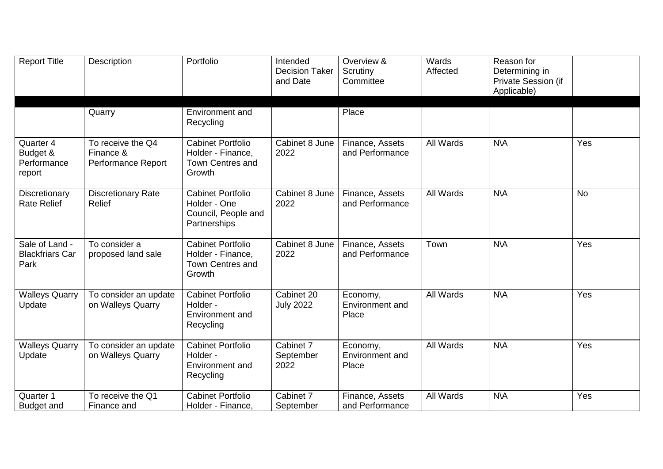| <b>Report Title</b>                              | Description                                          | Portfolio                                                                          | Intended<br><b>Decision Taker</b><br>and Date | Overview &<br>Scrutiny<br>Committee  | Wards<br>Affected | Reason for<br>Determining in<br>Private Session (if<br>Applicable) |           |
|--------------------------------------------------|------------------------------------------------------|------------------------------------------------------------------------------------|-----------------------------------------------|--------------------------------------|-------------------|--------------------------------------------------------------------|-----------|
|                                                  | Quarry                                               | Environment and<br>Recycling                                                       |                                               | Place                                |                   |                                                                    |           |
| Quarter 4<br>Budget &<br>Performance<br>report   | To receive the Q4<br>Finance &<br>Performance Report | <b>Cabinet Portfolio</b><br>Holder - Finance,<br><b>Town Centres and</b><br>Growth | Cabinet 8 June<br>2022                        | Finance, Assets<br>and Performance   | All Wards         | <b>N\A</b>                                                         | Yes       |
| Discretionary<br><b>Rate Relief</b>              | <b>Discretionary Rate</b><br><b>Relief</b>           | <b>Cabinet Portfolio</b><br>Holder - One<br>Council, People and<br>Partnerships    | Cabinet 8 June<br>2022                        | Finance, Assets<br>and Performance   | All Wards         | $N\setminus A$                                                     | <b>No</b> |
| Sale of Land -<br><b>Blackfriars Car</b><br>Park | To consider a<br>proposed land sale                  | <b>Cabinet Portfolio</b><br>Holder - Finance,<br><b>Town Centres and</b><br>Growth | Cabinet 8 June<br>2022                        | Finance, Assets<br>and Performance   | Town              | <b>N\A</b>                                                         | Yes       |
| <b>Walleys Quarry</b><br>Update                  | To consider an update<br>on Walleys Quarry           | <b>Cabinet Portfolio</b><br>Holder -<br>Environment and<br>Recycling               | Cabinet 20<br><b>July 2022</b>                | Economy,<br>Environment and<br>Place | All Wards         | <b>N\A</b>                                                         | Yes       |
| <b>Walleys Quarry</b><br>Update                  | To consider an update<br>on Walleys Quarry           | <b>Cabinet Portfolio</b><br>Holder -<br>Environment and<br>Recycling               | Cabinet 7<br>September<br>2022                | Economy,<br>Environment and<br>Place | All Wards         | <b>N\A</b>                                                         | Yes       |
| Quarter 1<br><b>Budget and</b>                   | To receive the Q1<br>Finance and                     | <b>Cabinet Portfolio</b><br>Holder - Finance,                                      | Cabinet 7<br>September                        | Finance, Assets<br>and Performance   | All Wards         | <b>N\A</b>                                                         | Yes       |